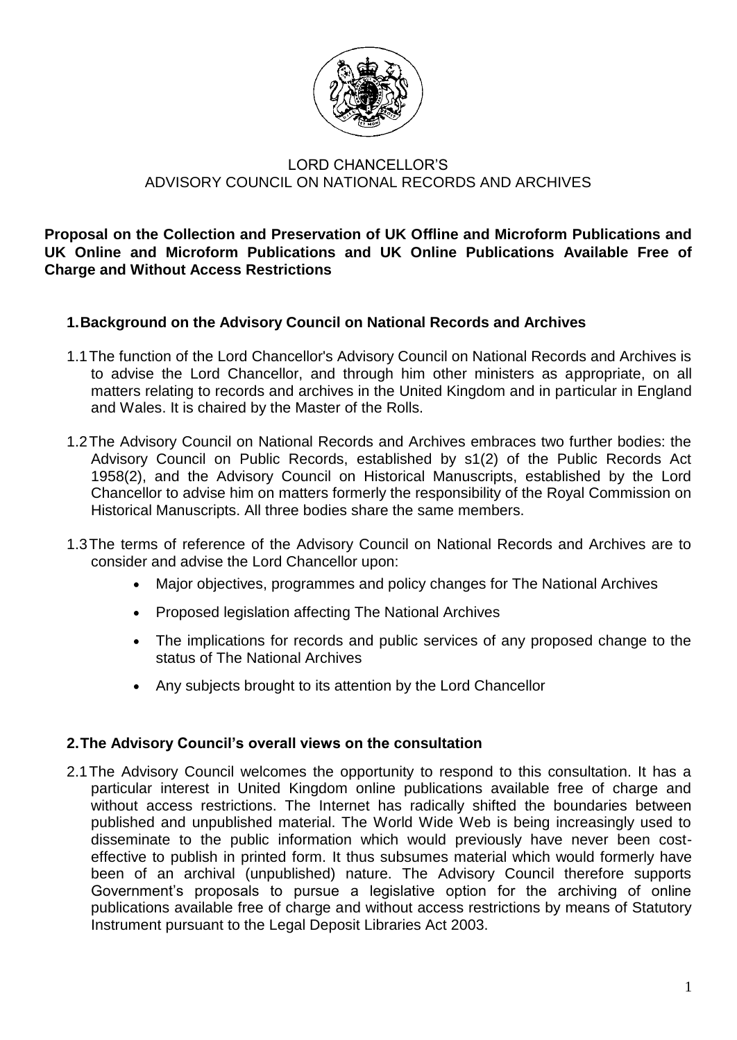

# LORD CHANCELLOR'S ADVISORY COUNCIL ON NATIONAL RECORDS AND ARCHIVES

**Proposal on the Collection and Preservation of UK Offline and Microform Publications and UK Online and Microform Publications and UK Online Publications Available Free of Charge and Without Access Restrictions**

# **1.Background on the Advisory Council on National Records and Archives**

- 1.1The function of the Lord Chancellor's Advisory Council on National Records and Archives is to advise the Lord Chancellor, and through him other ministers as appropriate, on all matters relating to records and archives in the United Kingdom and in particular in England and Wales. It is chaired by the Master of the Rolls.
- 1.2The Advisory Council on National Records and Archives embraces two further bodies: the Advisory Council on Public Records, established by s1(2) of the Public Records Act 1958(2), and the Advisory Council on Historical Manuscripts, established by the Lord Chancellor to advise him on matters formerly the responsibility of the Royal Commission on Historical Manuscripts. All three bodies share the same members.
- 1.3The terms of reference of the Advisory Council on National Records and Archives are to consider and advise the Lord Chancellor upon:
	- $\bullet$ Major objectives, programmes and policy changes for The National Archives
	- Proposed legislation affecting The National Archives
	- The implications for records and public services of any proposed change to the status of The National Archives
	- Any subjects brought to its attention by the Lord Chancellor

## **2.The Advisory Council's overall views on the consultation**

2.1The Advisory Council welcomes the opportunity to respond to this consultation. It has a particular interest in United Kingdom online publications available free of charge and without access restrictions. The Internet has radically shifted the boundaries between published and unpublished material. The World Wide Web is being increasingly used to disseminate to the public information which would previously have never been costeffective to publish in printed form. It thus subsumes material which would formerly have been of an archival (unpublished) nature. The Advisory Council therefore supports Government's proposals to pursue a legislative option for the archiving of online publications available free of charge and without access restrictions by means of Statutory Instrument pursuant to the Legal Deposit Libraries Act 2003.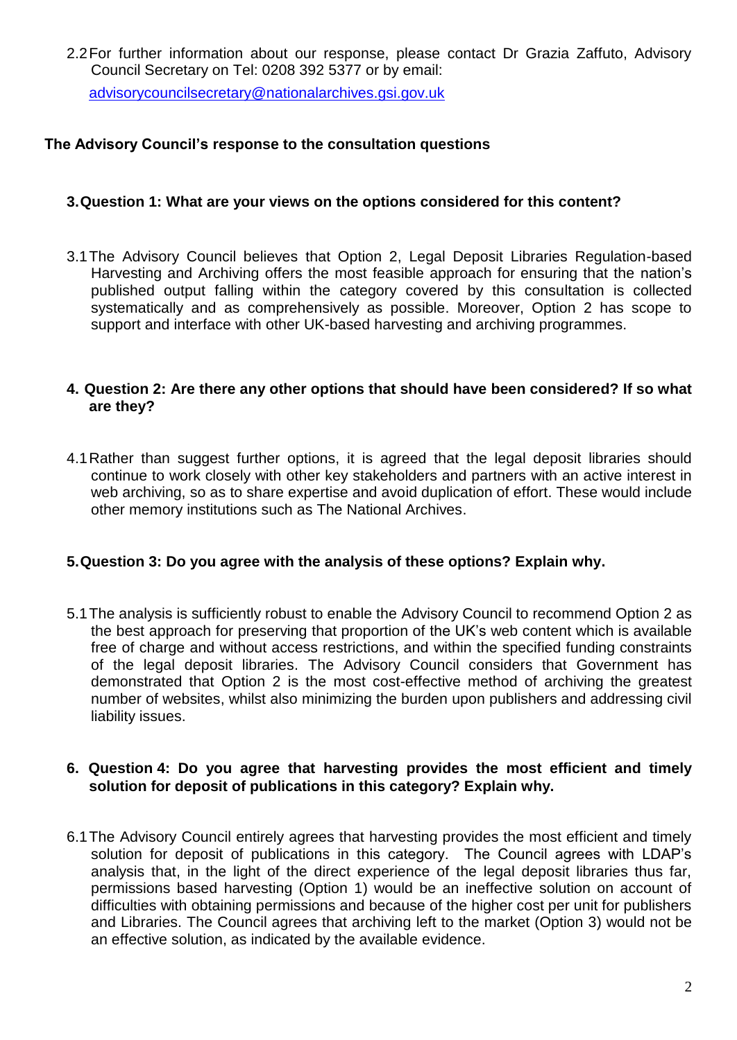2.2For further information about our response, please contact Dr Grazia Zaffuto, Advisory Council Secretary on Tel: 0208 392 5377 or by email:

[advisorycouncilsecretary@nationalarchives.gsi.gov.uk](mailto:advisorycouncilsecretary@nationalarchives.gsi.gov.uk)

## **The Advisory Council's response to the consultation questions**

## **3.Question 1: What are your views on the options considered for this content?**

3.1The Advisory Council believes that Option 2, Legal Deposit Libraries Regulation-based Harvesting and Archiving offers the most feasible approach for ensuring that the nation's published output falling within the category covered by this consultation is collected systematically and as comprehensively as possible. Moreover, Option 2 has scope to support and interface with other UK-based harvesting and archiving programmes.

## **4. Question 2: Are there any other options that should have been considered? If so what are they?**

4.1Rather than suggest further options, it is agreed that the legal deposit libraries should continue to work closely with other key stakeholders and partners with an active interest in web archiving, so as to share expertise and avoid duplication of effort. These would include other memory institutions such as The National Archives.

## **5.Question 3: Do you agree with the analysis of these options? Explain why.**

5.1The analysis is sufficiently robust to enable the Advisory Council to recommend Option 2 as the best approach for preserving that proportion of the UK's web content which is available free of charge and without access restrictions, and within the specified funding constraints of the legal deposit libraries. The Advisory Council considers that Government has demonstrated that Option 2 is the most cost-effective method of archiving the greatest number of websites, whilst also minimizing the burden upon publishers and addressing civil liability issues.

## **6. Question 4: Do you agree that harvesting provides the most efficient and timely solution for deposit of publications in this category? Explain why.**

6.1The Advisory Council entirely agrees that harvesting provides the most efficient and timely solution for deposit of publications in this category. The Council agrees with LDAP's analysis that, in the light of the direct experience of the legal deposit libraries thus far, permissions based harvesting (Option 1) would be an ineffective solution on account of difficulties with obtaining permissions and because of the higher cost per unit for publishers and Libraries. The Council agrees that archiving left to the market (Option 3) would not be an effective solution, as indicated by the available evidence.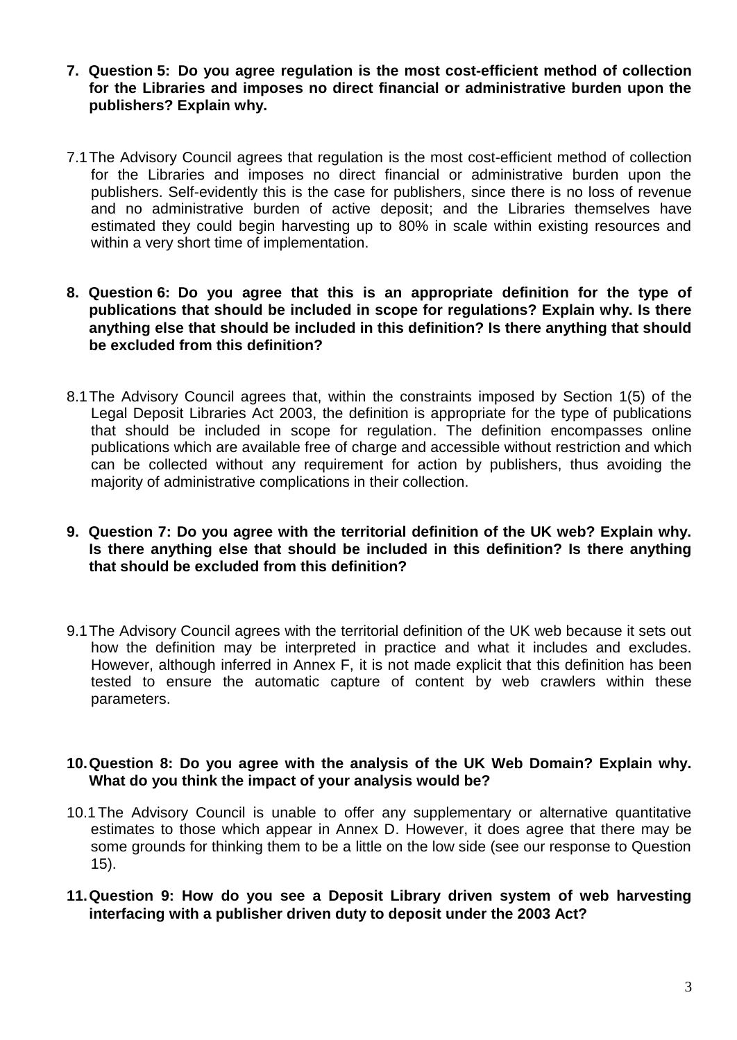- **7. Question 5: Do you agree regulation is the most cost-efficient method of collection for the Libraries and imposes no direct financial or administrative burden upon the publishers? Explain why.**
- 7.1The Advisory Council agrees that regulation is the most cost-efficient method of collection for the Libraries and imposes no direct financial or administrative burden upon the publishers. Self-evidently this is the case for publishers, since there is no loss of revenue and no administrative burden of active deposit; and the Libraries themselves have estimated they could begin harvesting up to 80% in scale within existing resources and within a very short time of implementation.
- **8. Question 6: Do you agree that this is an appropriate definition for the type of publications that should be included in scope for regulations? Explain why. Is there anything else that should be included in this definition? Is there anything that should be excluded from this definition?**
- 8.1The Advisory Council agrees that, within the constraints imposed by Section 1(5) of the Legal Deposit Libraries Act 2003, the definition is appropriate for the type of publications that should be included in scope for regulation. The definition encompasses online publications which are available free of charge and accessible without restriction and which can be collected without any requirement for action by publishers, thus avoiding the majority of administrative complications in their collection.
- **9. Question 7: Do you agree with the territorial definition of the UK web? Explain why. Is there anything else that should be included in this definition? Is there anything that should be excluded from this definition?**
- 9.1The Advisory Council agrees with the territorial definition of the UK web because it sets out how the definition may be interpreted in practice and what it includes and excludes. However, although inferred in Annex F, it is not made explicit that this definition has been tested to ensure the automatic capture of content by web crawlers within these parameters.

## **10.Question 8: Do you agree with the analysis of the UK Web Domain? Explain why. What do you think the impact of your analysis would be?**

- 10.1The Advisory Council is unable to offer any supplementary or alternative quantitative estimates to those which appear in Annex D. However, it does agree that there may be some grounds for thinking them to be a little on the low side (see our response to Question 15).
- **11.Question 9: How do you see a Deposit Library driven system of web harvesting interfacing with a publisher driven duty to deposit under the 2003 Act?**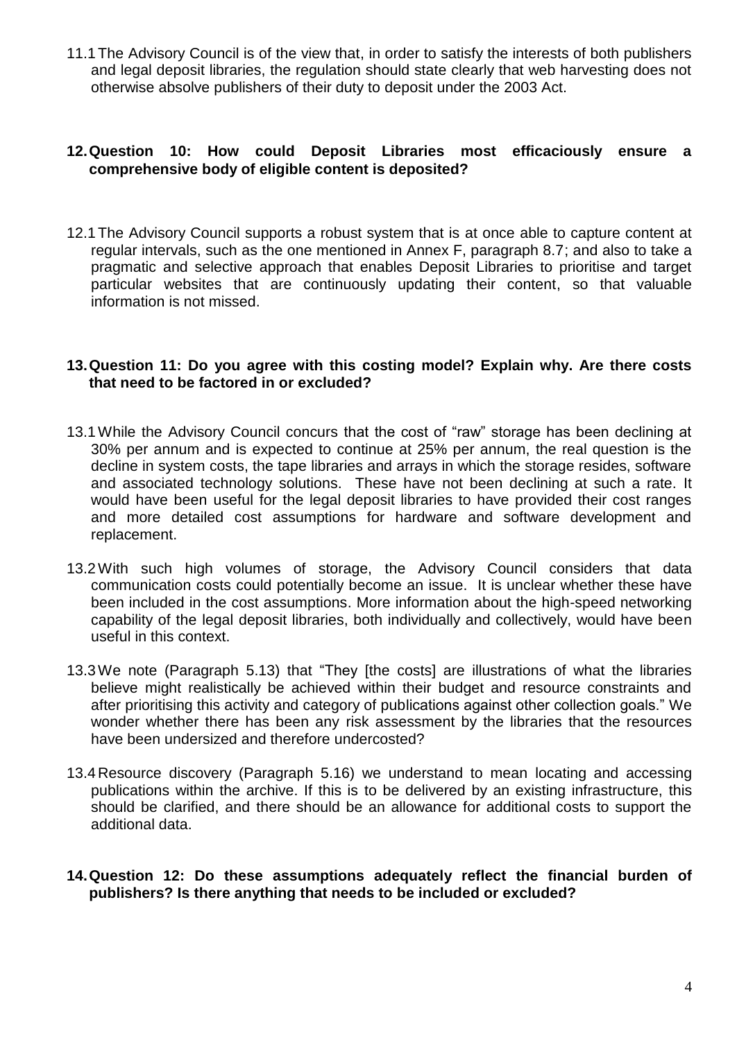11.1The Advisory Council is of the view that, in order to satisfy the interests of both publishers and legal deposit libraries, the regulation should state clearly that web harvesting does not otherwise absolve publishers of their duty to deposit under the 2003 Act.

## **12.Question 10: How could Deposit Libraries most efficaciously ensure a comprehensive body of eligible content is deposited?**

12.1The Advisory Council supports a robust system that is at once able to capture content at regular intervals, such as the one mentioned in Annex F, paragraph 8.7; and also to take a pragmatic and selective approach that enables Deposit Libraries to prioritise and target particular websites that are continuously updating their content, so that valuable information is not missed.

#### **13.Question 11: Do you agree with this costing model? Explain why. Are there costs that need to be factored in or excluded?**

- 13.1While the Advisory Council concurs that the cost of "raw" storage has been declining at 30% per annum and is expected to continue at 25% per annum, the real question is the decline in system costs, the tape libraries and arrays in which the storage resides, software and associated technology solutions. These have not been declining at such a rate. It would have been useful for the legal deposit libraries to have provided their cost ranges and more detailed cost assumptions for hardware and software development and replacement.
- 13.2With such high volumes of storage, the Advisory Council considers that data communication costs could potentially become an issue. It is unclear whether these have been included in the cost assumptions. More information about the high-speed networking capability of the legal deposit libraries, both individually and collectively, would have been useful in this context.
- 13.3We note (Paragraph 5.13) that "They [the costs] are illustrations of what the libraries believe might realistically be achieved within their budget and resource constraints and after prioritising this activity and category of publications against other collection goals." We wonder whether there has been any risk assessment by the libraries that the resources have been undersized and therefore undercosted?
- 13.4 Resource discovery (Paragraph 5.16) we understand to mean locating and accessing publications within the archive. If this is to be delivered by an existing infrastructure, this should be clarified, and there should be an allowance for additional costs to support the additional data.

## **14.Question 12: Do these assumptions adequately reflect the financial burden of publishers? Is there anything that needs to be included or excluded?**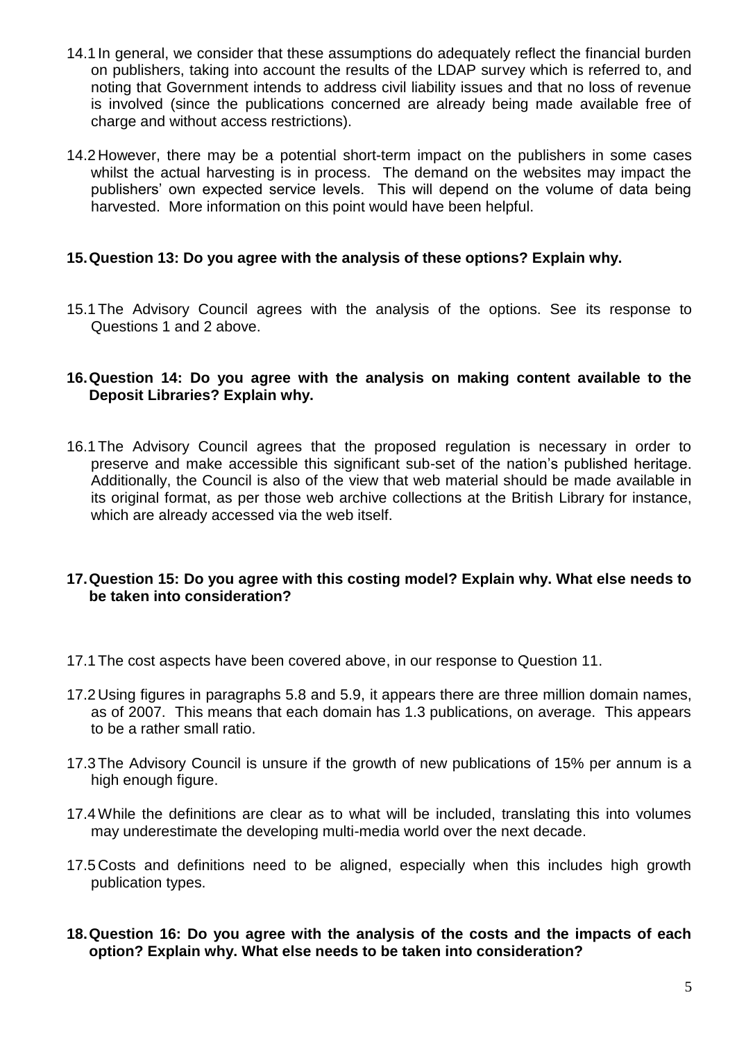- 14.1 In general, we consider that these assumptions do adequately reflect the financial burden on publishers, taking into account the results of the LDAP survey which is referred to, and noting that Government intends to address civil liability issues and that no loss of revenue is involved (since the publications concerned are already being made available free of charge and without access restrictions).
- 14.2 However, there may be a potential short-term impact on the publishers in some cases whilst the actual harvesting is in process. The demand on the websites may impact the publishers' own expected service levels. This will depend on the volume of data being harvested. More information on this point would have been helpful.

## **15.Question 13: Do you agree with the analysis of these options? Explain why.**

15.1The Advisory Council agrees with the analysis of the options. See its response to Questions 1 and 2 above.

## **16.Question 14: Do you agree with the analysis on making content available to the Deposit Libraries? Explain why.**

16.1The Advisory Council agrees that the proposed regulation is necessary in order to preserve and make accessible this significant sub-set of the nation's published heritage. Additionally, the Council is also of the view that web material should be made available in its original format, as per those web archive collections at the British Library for instance, which are already accessed via the web itself.

## **17.Question 15: Do you agree with this costing model? Explain why. What else needs to be taken into consideration?**

- 17.1The cost aspects have been covered above, in our response to Question 11.
- 17.2 Using figures in paragraphs 5.8 and 5.9, it appears there are three million domain names, as of 2007. This means that each domain has 1.3 publications, on average. This appears to be a rather small ratio.
- 17.3The Advisory Council is unsure if the growth of new publications of 15% per annum is a high enough figure.
- 17.4While the definitions are clear as to what will be included, translating this into volumes may underestimate the developing multi-media world over the next decade.
- 17.5 Costs and definitions need to be aligned, especially when this includes high growth publication types.
- **18.Question 16: Do you agree with the analysis of the costs and the impacts of each option? Explain why. What else needs to be taken into consideration?**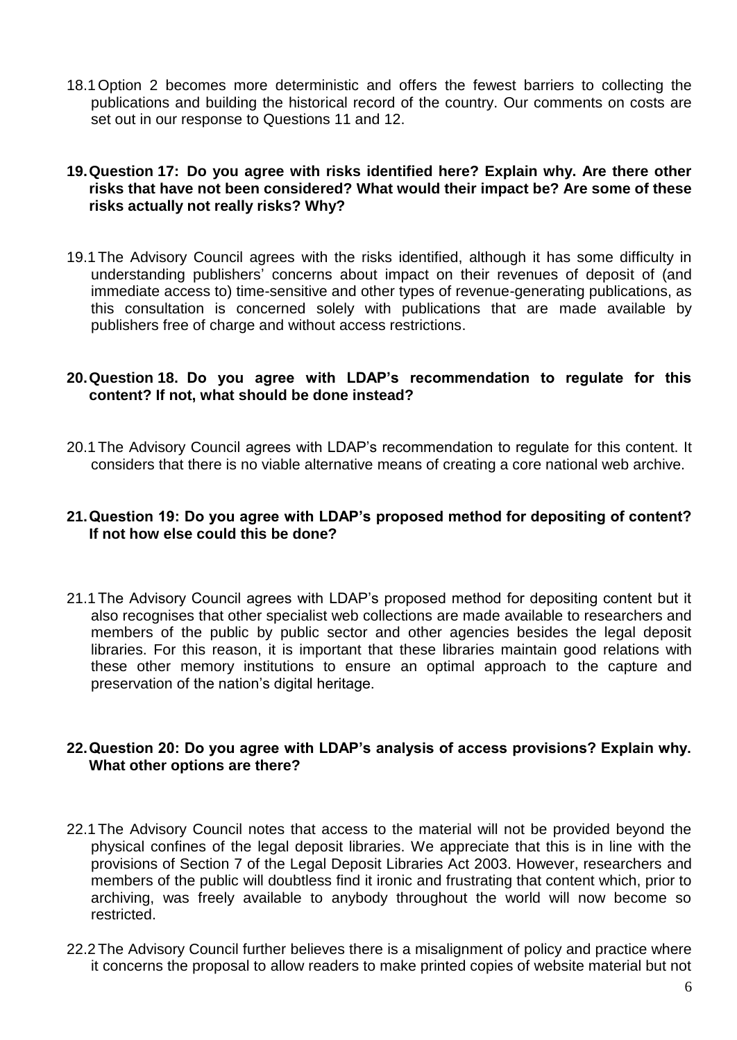18.1Option 2 becomes more deterministic and offers the fewest barriers to collecting the publications and building the historical record of the country. Our comments on costs are set out in our response to Questions 11 and 12.

## **19.Question 17: Do you agree with risks identified here? Explain why. Are there other risks that have not been considered? What would their impact be? Are some of these risks actually not really risks? Why?**

19.1The Advisory Council agrees with the risks identified, although it has some difficulty in understanding publishers' concerns about impact on their revenues of deposit of (and immediate access to) time-sensitive and other types of revenue-generating publications, as this consultation is concerned solely with publications that are made available by publishers free of charge and without access restrictions.

## **20.Question 18. Do you agree with LDAP's recommendation to regulate for this content? If not, what should be done instead?**

20.1The Advisory Council agrees with LDAP's recommendation to regulate for this content. It considers that there is no viable alternative means of creating a core national web archive.

## **21.Question 19: Do you agree with LDAP's proposed method for depositing of content? If not how else could this be done?**

21.1The Advisory Council agrees with LDAP's proposed method for depositing content but it also recognises that other specialist web collections are made available to researchers and members of the public by public sector and other agencies besides the legal deposit libraries. For this reason, it is important that these libraries maintain good relations with these other memory institutions to ensure an optimal approach to the capture and preservation of the nation's digital heritage.

## **22.Question 20: Do you agree with LDAP's analysis of access provisions? Explain why. What other options are there?**

- 22.1The Advisory Council notes that access to the material will not be provided beyond the physical confines of the legal deposit libraries. We appreciate that this is in line with the provisions of Section 7 of the Legal Deposit Libraries Act 2003. However, researchers and members of the public will doubtless find it ironic and frustrating that content which, prior to archiving, was freely available to anybody throughout the world will now become so restricted.
- 22.2The Advisory Council further believes there is a misalignment of policy and practice where it concerns the proposal to allow readers to make printed copies of website material but not